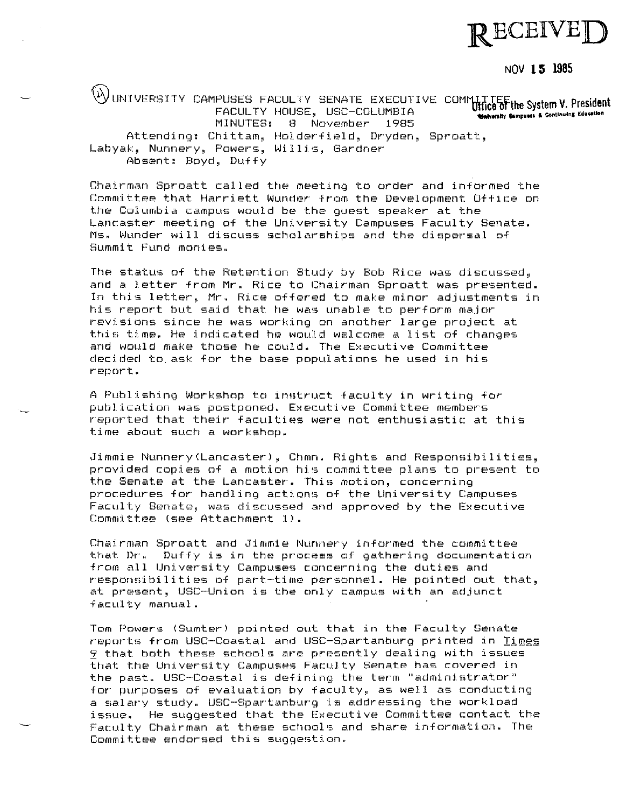

NOV **15 1985** 

WUNIVERSITY CAMPUSES FACULTY SENATE EXECUTIVE COMMUTTEE the System V. President **Walversity Campuses & Continuing Education** FACULTY HOUSE, USC-COLUMBIA MINUTES: 8 November 1985 Attending, Chittam, Holderfield, Dryden, Sproatt, **Labyak, Nunnery, Powers, Willis, Gardner**  Absent, Boyd, Duffy

Chairman Sproatt called the meeting to order and informed the Committee that Harriett Wunder from the Development Office on the Columbia campus would be the guest speaker at the Lancaster meeting of the University Campuses Faculty Senate. **Ms" Wunder will discuss scholarships and the dispersal of Summit Fund monies.** 

The status of the Retention Study by Bob Rice was discussed, and a letter from Mr. Rice to Chairman Sproatt was presented. In this letter, Mr. Rice offered to make minor adjustments in his report but said that he was unable to perform major **revisions since he was working on another large project at**  this time. He indicated he would welcome a list of changes and would make those he could. The Executive Committee **decided to.ask for the base populations he used in his rE~port** <sup>~</sup>

A Publishing Workshop to instruct faculty in writing for **publication was postponed~ Executive Committee members**  reported that their faculties were not enthusiastic at this time about such a workshop.

Jimmie Nunnery(Lancasterl, Chmn. Rights and Responsibilities, provided copies of a motion his committee plans to present to the Senate at the Lancaster. This motion, concerning **procedures for handling actions of the University Campuses**  Faculty Senate, was discussed and approved by the Executive Committee (see Attachment 1).

Chairman Sproatt and Jimmie Nunnery informed the committee **that Dr. Duffy is in the process of gathering documentation**  from all University Campuses concerning the duties and responsibilities of part-time personnel. He pointed out that, **at present, USC-Union is the only campus with an adjunct**  faculty manual.

Tom Powers (Sumter) pointed out that in the Faculty Senate reports from USC-Coastal and USC-Spartanburg printed in Times <sup>~</sup>**that both these schools are presently dealing with issues that the University Campuses Faculty Senate has covered in the past. USC-Coastal is defining the term "administrator"** for purposes of evaluation by faculty, as well as conducting **a salary study" USC-Spartanburg is addressing the workload**  issue. He suggested that the Executive Committee contact the Faculty Chairman at these schools and share information. The **Committee endorsed this suggestion~**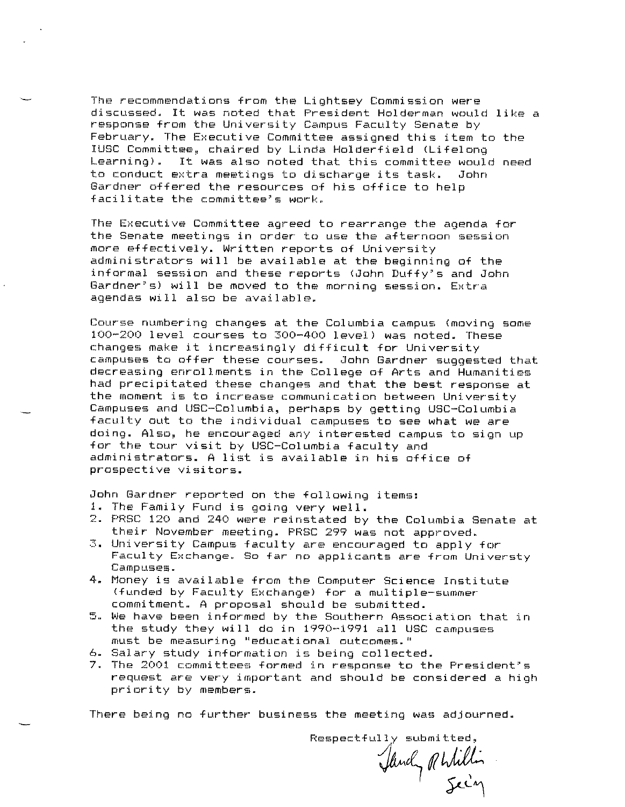**The recommendations from the Lightsey Commission were**  discussed. It was noted that President Holderman would like a **response from the University Campus Faculty Senate by**  February. The Executive Committee assigned this item to the IUSC Committee, chaired by Linda Holderfield (Lifelong Learning). It was also noted that this committee would need to conduct extra meetings to discharge its task. John Gardner offered the resources of his office to help facilitate the committee's work.

The Executive Committee agreed to rearrange the agenda for the Senate meetings in order to use the afternoon session more effectively. Written reports of University administrators will be available at the beginning of the informal session and these reports (John Duffy's and John Gardner's) will be moved to the morning session. Extra agendas will also be available.

**Course numbering changes at the Columbia campus (moving some**  100-200 level courses to 300-400 level) was noted. These changes make it increasingly difficult for University campuses to offer these courses. John Gardner suggested that **decreasing enrollments in the College of Arts and Humanities**  had precipitated these changes and that the best response at **the moment is to increase communication between University**  Campuses and USC-Columbia, perhaps by getting USC-Columbia faculty out to the individual campuses to see what we are **doing. Also, he encouraged any interested campus to sign up**  for the tour visit by USC-Columbia faculty and administrators. A list is available in his office of prospective visitors.

**John Gardner reported on the following items:** 

- 1. The Family Fund is going very well.
- 2. PRSC 120 and 240 were reinstated by the Columbia Senate at their November meeting. PRSC 299 was not approved.
- 3. University Campus faculty are encouraged to apply for **Faculty Exchange. So far no applicants are from Universty Campust:s ..**
- 4. Money is available from the Computer Science Institute (funded by Faculty Exchange) for a multiple-summer commitment. A proposal should be submitted.
- **5. We have been informed by the Soutt,ern Association that in**  the study they will do in 1990-1991 all USC campuses  $must$  be measuring "educational outcomes."
- **6. Salary study information is being collected.**
- **7. The 2001 committees formed in response to the President~s request are very important and should be considered a high**  priority by members.

**There being no further business the meeting was adjournedg** 

**Respectfully submitted,**  Jandy Rhilli